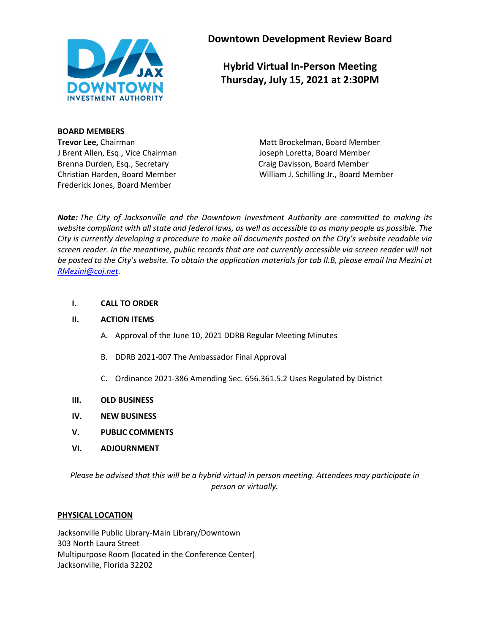

**Downtown Development Review Board**

**Hybrid Virtual In-Person Meeting Thursday, July 15, 2021 at 2:30PM**

**BOARD MEMBERS** J Brent Allen, Esq., Vice Chairman Joseph Loretta, Board Member Brenna Durden, Esq., Secretary Craig Davisson, Board Member Frederick Jones, Board Member

**Trevor Lee,** Chairman Matt Brockelman, Board Member Christian Harden, Board Member William J. Schilling Jr., Board Member

*Note: The City of Jacksonville and the Downtown Investment Authority are committed to making its website compliant with all state and federal laws, as well as accessible to as many people as possible. The City is currently developing a procedure to make all documents posted on the City's website readable via screen reader. In the meantime, public records that are not currently accessible via screen reader will not be posted to the City's website. To obtain the application materials for tab II.B, please email Ina Mezini at [RMezini@coj.net.](mailto:RMezini@coj.net)*

### **I. CALL TO ORDER**

### **II. ACTION ITEMS**

- A. Approval of the June 10, 2021 DDRB Regular Meeting Minutes
- B. DDRB 2021-007 The Ambassador Final Approval
- C. Ordinance 2021-386 Amending Sec. 656.361.5.2 Uses Regulated by District

### **III. OLD BUSINESS**

- **IV. NEW BUSINESS**
- **V. PUBLIC COMMENTS**
- **VI. ADJOURNMENT**

*Please be advised that this will be a hybrid virtual in person meeting. Attendees may participate in person or virtually.*

### **PHYSICAL LOCATION**

Jacksonville Public Library-Main Library/Downtown 303 North Laura Street Multipurpose Room (located in the Conference Center) Jacksonville, Florida 32202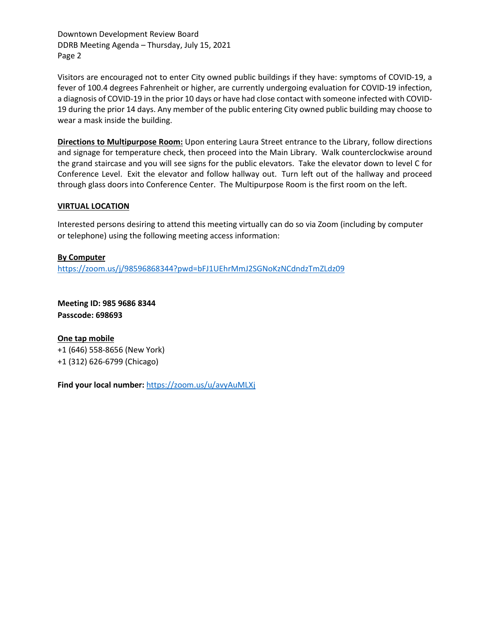Downtown Development Review Board DDRB Meeting Agenda – Thursday, July 15, 2021 Page 2

Visitors are encouraged not to enter City owned public buildings if they have: symptoms of COVID-19, a fever of 100.4 degrees Fahrenheit or higher, are currently undergoing evaluation for COVID-19 infection, a diagnosis of COVID-19 in the prior 10 days or have had close contact with someone infected with COVID-19 during the prior 14 days. Any member of the public entering City owned public building may choose to wear a mask inside the building.

**Directions to Multipurpose Room:** Upon entering Laura Street entrance to the Library, follow directions and signage for temperature check, then proceed into the Main Library. Walk counterclockwise around the grand staircase and you will see signs for the public elevators. Take the elevator down to level C for Conference Level. Exit the elevator and follow hallway out. Turn left out of the hallway and proceed through glass doors into Conference Center. The Multipurpose Room is the first room on the left.

### **VIRTUAL LOCATION**

Interested persons desiring to attend this meeting virtually can do so via Zoom (including by computer or telephone) using the following meeting access information:

**By Computer** <https://zoom.us/j/98596868344?pwd=bFJ1UEhrMmJ2SGNoKzNCdndzTmZLdz09>

**Meeting ID: 985 9686 8344 Passcode: 698693**

**One tap mobile** +1 (646) 558-8656 (New York) +1 (312) 626-6799 (Chicago)

**Find your local number:** <https://zoom.us/u/avyAuMLXj>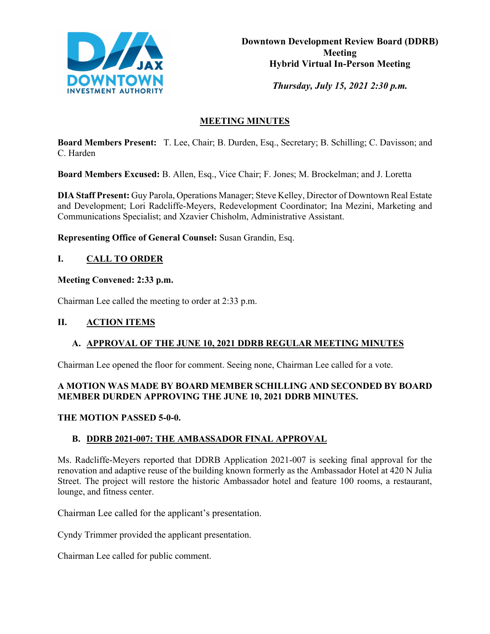

*Thursday, July 15, 2021 2:30 p.m.* 

# **MEETING MINUTES**

**Board Members Present:** T. Lee, Chair; B. Durden, Esq., Secretary; B. Schilling; C. Davisson; and C. Harden

**Board Members Excused:** B. Allen, Esq., Vice Chair; F. Jones; M. Brockelman; and J. Loretta

**DIA Staff Present:** Guy Parola, Operations Manager; Steve Kelley, Director of Downtown Real Estate and Development; Lori Radcliffe-Meyers, Redevelopment Coordinator; Ina Mezini, Marketing and Communications Specialist; and Xzavier Chisholm, Administrative Assistant.

**Representing Office of General Counsel:** Susan Grandin, Esq.

# **I. CALL TO ORDER**

**Meeting Convened: 2:33 p.m.** 

Chairman Lee called the meeting to order at 2:33 p.m.

## **II. ACTION ITEMS**

# **A. APPROVAL OF THE JUNE 10, 2021 DDRB REGULAR MEETING MINUTES**

Chairman Lee opened the floor for comment. Seeing none, Chairman Lee called for a vote.

## **A MOTION WAS MADE BY BOARD MEMBER SCHILLING AND SECONDED BY BOARD MEMBER DURDEN APPROVING THE JUNE 10, 2021 DDRB MINUTES.**

## **THE MOTION PASSED 5-0-0.**

# **B. DDRB 2021-007: THE AMBASSADOR FINAL APPROVAL**

Ms. Radcliffe-Meyers reported that DDRB Application 2021-007 is seeking final approval for the renovation and adaptive reuse of the building known formerly as the Ambassador Hotel at 420 N Julia Street. The project will restore the historic Ambassador hotel and feature 100 rooms, a restaurant, lounge, and fitness center.

Chairman Lee called for the applicant's presentation.

Cyndy Trimmer provided the applicant presentation.

Chairman Lee called for public comment.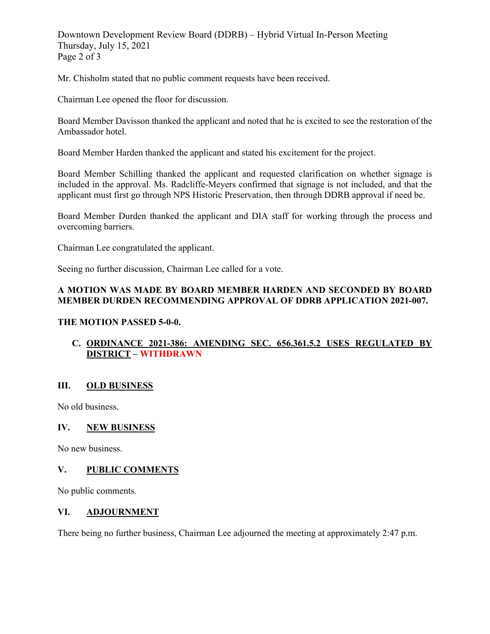Downtown Development Review Board (DDRB) – Hybrid Virtual In-Person Meeting Thursday, July 15, 2021 Page 2 of 3

Mr. Chisholm stated that no public comment requests have been received.

Chairman Lee opened the floor for discussion.

Board Member Davisson thanked the applicant and noted that he is excited to see the restoration of the Ambassador hotel.

Board Member Harden thanked the applicant and stated his excitement for the project.

Board Member Schilling thanked the applicant and requested clarification on whether signage is included in the approval. Ms. Radcliffe-Meyers confirmed that signage is not included, and that the applicant must first go through NPS Historic Preservation, then through DDRB approval if need be.

Board Member Durden thanked the applicant and DIA staff for working through the process and overcoming barriers.

Chairman Lee congratulated the applicant.

Seeing no further discussion, Chairman Lee called for a vote.

## **A MOTION WAS MADE BY BOARD MEMBER HARDEN AND SECONDED BY BOARD MEMBER DURDEN RECOMMENDING APPROVAL OF DDRB APPLICATION 2021-007.**

## **THE MOTION PASSED 5-0-0.**

## **C. ORDINANCE 2021-386: AMENDING SEC. 656.361.5.2 USES REGULATED BY DISTRICT – WITHDRAWN**

## **III. OLD BUSINESS**

No old business.

### **IV. NEW BUSINESS**

No new business.

## **V. PUBLIC COMMENTS**

No public comments.

### **VI. ADJOURNMENT**

There being no further business, Chairman Lee adjourned the meeting at approximately 2:47 p.m.